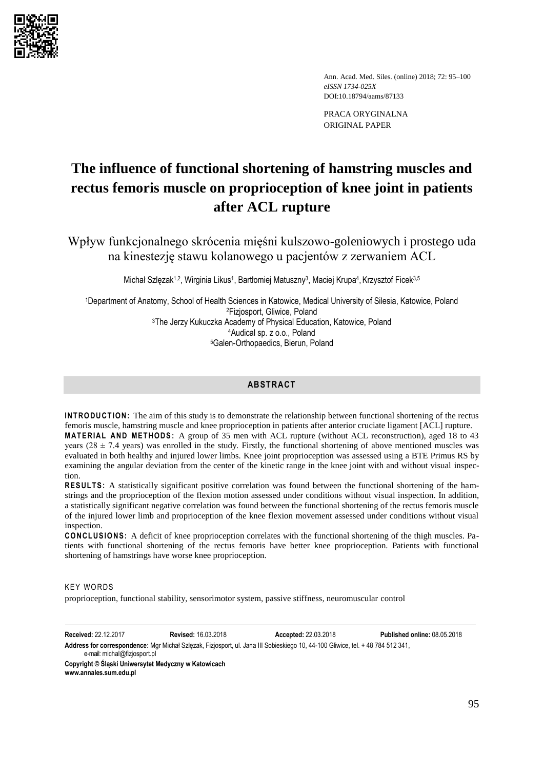

Ann. Acad. Med. Siles. (online) 2018; 72: 95–100 *eISSN 1734-025X*  DOI:10.18794/aams/87133

PRACA ORYGINALNA ORIGINAL PAPER

# **The influence of functional shortening of hamstring muscles and rectus femoris muscle on proprioception of knee joint in patients after ACL rupture**

Wpływ funkcjonalnego skrócenia mięśni kulszowo-goleniowych i prostego uda na kinestezję stawu kolanowego u pacjentów z zerwaniem ACL

Michał Szlęzak<sup>1,2</sup>, Wirginia Likus<sup>1</sup>, Bartłomiej Matuszny<sup>3</sup>, Maciej Krupa<sup>4</sup>, Krzysztof Ficek<sup>3,5</sup>

Department of Anatomy, School of Health Sciences in Katowice, Medical University of Silesia, Katowice, Poland Fizjosport, Gliwice, Poland The Jerzy Kukuczka Academy of Physical Education, Katowice, Poland Audical sp. z o.o., Poland Galen-Orthopaedics, Bierun, Poland

# **ABSTRACT**

**INTRODUCTION:** The aim of this study is to demonstrate the relationship between functional shortening of the rectus femoris muscle, hamstring muscle and knee proprioception in patients after anterior cruciate ligament [ACL] rupture. **MATERIAL AND METHODS:** A group of 35 men with ACL rupture (without ACL reconstruction), aged 18 to 43

years ( $28 \pm 7.4$  years) was enrolled in the study. Firstly, the functional shortening of above mentioned muscles was evaluated in both healthy and injured lower limbs. Knee joint proprioception was assessed using a BTE Primus RS by examining the angular deviation from the center of the kinetic range in the knee joint with and without visual inspection.

**RES ULTS :** A statistically significant positive correlation was found between the functional shortening of the hamstrings and the proprioception of the flexion motion assessed under conditions without visual inspection. In addition, a statistically significant negative correlation was found between the functional shortening of the rectus femoris muscle of the injured lower limb and proprioception of the knee flexion movement assessed under conditions without visual inspection.

**CO NCL US IO NS :** A deficit of knee proprioception correlates with the functional shortening of the thigh muscles. Patients with functional shortening of the rectus femoris have better knee proprioception. Patients with functional shortening of hamstrings have worse knee proprioception.

## **KEY WORDS**

proprioception, functional stability, sensorimotor system, passive stiffness, neuromuscular control

**Received:** 22.12.2017 **Revised:** 16.03.2018 **Accepted:** 22.03.2018 **Published online:** 08.05.2018

**Address for correspondence:** Mgr Michał Szlęzak, Fizjosport, ul. Jana III Sobieskiego 10, 44-100 Gliwice, tel. + 48 784 512 341, e-mail[: michal@fizjosport.pl](mailto:michal@fizjosport.pl)

**Copyright © Śląski Uniwersytet Medyczny w Katowicach [www.annales.sum.edu.pl](http://www.annales.sum.edu.pl/)**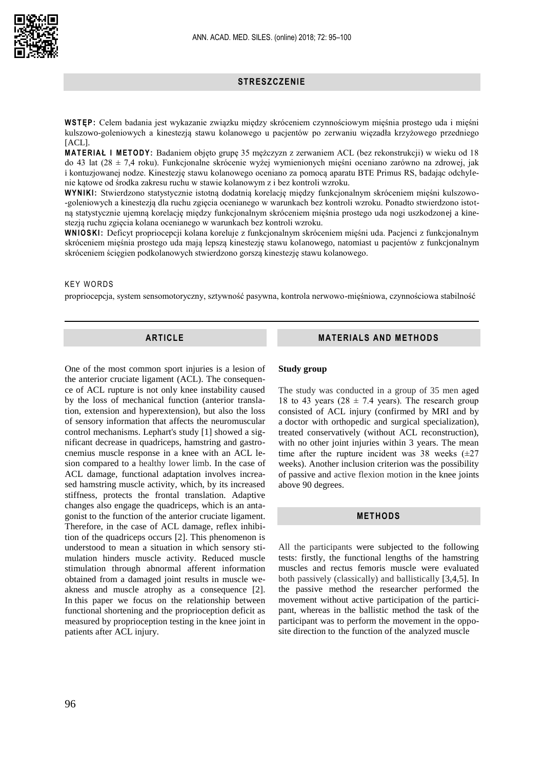## **STRESZCZENIE**

**WSTĘP :** Celem badania jest wykazanie związku między skróceniem czynnościowym mięśnia prostego uda i mięśni kulszowo-goleniowych a kinestezją stawu kolanowego u pacjentów po zerwaniu więzadła krzyżowego przedniego [ACL].

**MAT ER IAŁ I METO DY :** Badaniem objęto grupę 35 mężczyzn z zerwaniem ACL (bez rekonstrukcji) w wieku od 18 do 43 lat (28 ± 7,4 roku). Funkcjonalne skrócenie wyżej wymienionych mięśni oceniano zarówno na zdrowej, jak i kontuzjowanej nodze. Kinestezję stawu kolanowego oceniano za pomocą aparatu BTE Primus RS, badając odchylenie kątowe od środka zakresu ruchu w stawie kolanowym z i bez kontroli wzroku.

WYNIKI: Stwierdzono statystycznie istotną dodatnią korelację między funkcjonalnym skróceniem mięśni kulszowo--goleniowych a kinestezją dla ruchu zgięcia ocenianego w warunkach bez kontroli wzroku. Ponadto stwierdzono istotną statystycznie ujemną korelację między funkcjonalnym skróceniem mięśnia prostego uda nogi uszkodzonej a kinestezją ruchu zgięcia kolana ocenianego w warunkach bez kontroli wzroku.

**WN IOS KI:** Deficyt propriocepcji kolana koreluje z funkcjonalnym skróceniem mięśni uda. Pacjenci z funkcjonalnym skróceniem mięśnia prostego uda mają lepszą kinestezję stawu kolanowego, natomiast u pacjentów z funkcjonalnym skróceniem ścięgien podkolanowych stwierdzono gorszą kinestezję stawu kolanowego.

### **KEY WORDS**

propriocepcja, system sensomotoryczny, sztywność pasywna, kontrola nerwowo-mięśniowa, czynnościowa stabilność

## **ARTICLE**

One of the most common sport injuries is a lesion of the anterior cruciate ligament (ACL). The consequence of ACL rupture is not only knee instability caused by the loss of mechanical function (anterior translation, extension and hyperextension), but also the loss of sensory information that affects the neuromuscular control mechanisms. Lephart's study [1] showed a significant decrease in quadriceps, hamstring and gastrocnemius muscle response in a knee with an ACL lesion compared to a healthy lower limb. In the case of ACL damage, functional adaptation involves increased hamstring muscle activity, which, by its increased stiffness, protects the frontal translation. Adaptive changes also engage the quadriceps, which is an antagonist to the function of the anterior cruciate ligament. Therefore, in the case of ACL damage, reflex inhibition of the quadriceps occurs [2]. This phenomenon is understood to mean a situation in which sensory stimulation hinders muscle activity. Reduced muscle stimulation through abnormal afferent information obtained from a damaged joint results in muscle weakness and muscle atrophy as a consequence [2]. In this paper we focus on the relationship between functional shortening and the proprioception deficit as measured by proprioception testing in the knee joint in patients after ACL injury.

# **MATERIALS AND METHODS**

## **Study group**

The study was conducted in a group of 35 men aged 18 to 43 years (28  $\pm$  7.4 years). The research group consisted of ACL injury (confirmed by MRI and by a doctor with orthopedic and surgical specialization), treated conservatively (without ACL reconstruction), with no other joint injuries within 3 years. The mean time after the rupture incident was 38 weeks  $(\pm 27)$ weeks). Another inclusion criterion was the possibility of passive and active flexion motion in the knee joints above 90 degrees.

# **METHODS**

All the participants were subjected to the following tests: firstly, the functional lengths of the hamstring muscles and rectus femoris muscle were evaluated both passively (classically) and ballistically [3,4,5]. In the passive method the researcher performed the movement without active participation of the participant, whereas in the ballistic method the task of the participant was to perform the movement in the opposite direction to the function of the analyzed muscle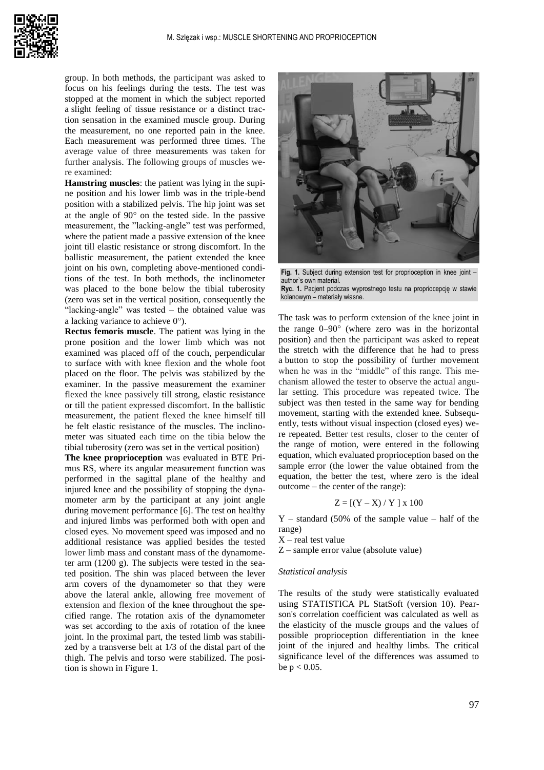

group. In both methods, the participant was asked to focus on his feelings during the tests. The test was stopped at the moment in which the subject reported a slight feeling of tissue resistance or a distinct traction sensation in the examined muscle group. During the measurement, no one reported pain in the knee. Each measurement was performed three times. The average value of three measurements was taken for further analysis. The following groups of muscles were examined:

**Hamstring muscles**: the patient was lying in the supine position and his lower limb was in the triple-bend position with a stabilized pelvis. The hip joint was set at the angle of  $90^{\circ}$  on the tested side. In the passive measurement, the "lacking-angle" test was performed, where the patient made a passive extension of the knee joint till elastic resistance or strong discomfort. In the ballistic measurement, the patient extended the knee joint on his own, completing above-mentioned conditions of the test. In both methods, the inclinometer was placed to the bone below the tibial tuberosity (zero was set in the vertical position, consequently the "lacking-angle" was tested – the obtained value was a lacking variance to achieve  $0^{\circ}$ ).

**Rectus femoris muscle**. The patient was lying in the prone position and the lower limb which was not examined was placed off of the couch, perpendicular to surface with with knee flexion and the whole foot placed on the floor. The pelvis was stabilized by the examiner. In the passive measurement the examiner flexed the knee passively till strong, elastic resistance or till the patient expressed discomfort. In the ballistic measurement, the patient flexed the knee himself till he felt elastic resistance of the muscles. The inclinometer was situated each time on the tibia below the tibial tuberosity (zero was set in the vertical position)

**The knee proprioception** was evaluated in BTE Primus RS, where its angular measurement function was performed in the sagittal plane of the healthy and injured knee and the possibility of stopping the dynamometer arm by the participant at any joint angle during movement performance [6]. The test on healthy and injured limbs was performed both with open and closed eyes. No movement speed was imposed and no additional resistance was applied besides the tested lower limb mass and constant mass of the dynamometer arm (1200 g). The subjects were tested in the seated position. The shin was placed between the lever arm covers of the dynamometer so that they were above the lateral ankle, allowing free movement of extension and flexion of the knee throughout the specified range. The rotation axis of the dynamometer was set according to the axis of rotation of the knee joint. In the proximal part, the tested limb was stabilized by a transverse belt at 1/3 of the distal part of the thigh. The pelvis and torso were stabilized. The position is shown in Figure 1.



Fig. 1. Subject during extension test for proprioception in knee joint author`s own material. **Ryc. 1.** Pacjent podczas wyprostnego testu na propriocepcję w stawie

kolanowym – materiały własne.

The task was to perform extension of the knee joint in the range  $0-90^{\circ}$  (where zero was in the horizontal position) and then the participant was asked to repeat the stretch with the difference that he had to press a button to stop the possibility of further movement when he was in the "middle" of this range. This mechanism allowed the tester to observe the actual angular setting. This procedure was repeated twice. The subject was then tested in the same way for bending movement, starting with the extended knee. Subsequently, tests without visual inspection (closed eyes) were repeated. Better test results, closer to the center of the range of motion, were entered in the following equation, which evaluated proprioception based on the sample error (the lower the value obtained from the equation, the better the test, where zero is the ideal outcome – the center of the range):

$$
Z = [(Y - X) / Y] x 100
$$

 $Y - standard (50\% \text{ of the sample value } - \text{half of the})$ range)

 $X$  – real test value

Z – sample error value (absolute value)

#### *Statistical analysis*

The results of the study were statistically evaluated using STATISTICA PL StatSoft (version 10). Pearson's correlation coefficient was calculated as well as the elasticity of the muscle groups and the values of possible proprioception differentiation in the knee joint of the injured and healthy limbs. The critical significance level of the differences was assumed to be  $p < 0.05$ .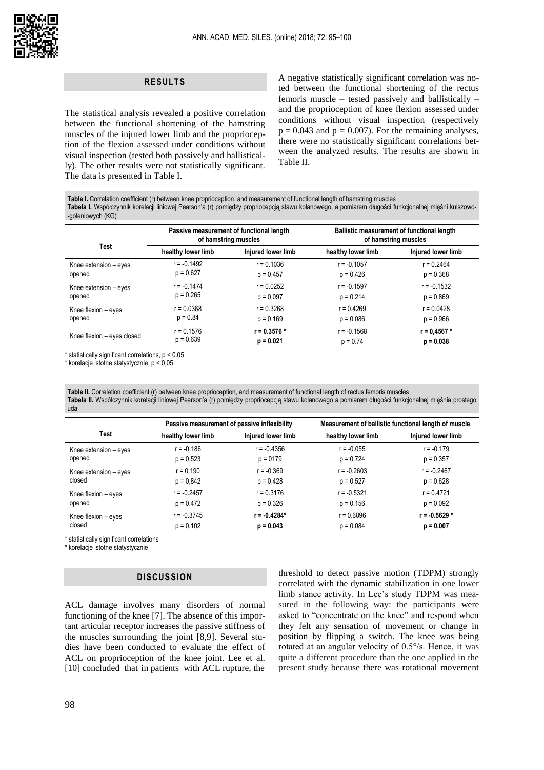### **RESULTS**

The statistical analysis revealed a positive correlation between the functional shortening of the hamstring muscles of the injured lower limb and the proprioception of the flexion assessed under conditions without visual inspection (tested both passively and ballistically). The other results were not statistically significant. The data is presented in Table I.

A negative statistically significant correlation was noted between the functional shortening of the rectus femoris muscle – tested passively and ballistically – and the proprioception of knee flexion assessed under conditions without visual inspection (respectively  $p = 0.043$  and  $p = 0.007$ ). For the remaining analyses, there were no statistically significant correlations between the analyzed results. The results are shown in Table II.

**Table I.** Correlation coefficient (r) between knee proprioception, and measurement of functional length of hamstring muscles **Tabela I.** Współczynnik korelacji liniowej Pearson'a (r) pomiędzy propriocepcją stawu kolanowego, a pomiarem długości funkcjonalnej mięśni kulszowo- -goleniowych (KG)

|                            | Passive measurement of functional length<br>of hamstring muscles |                    | Ballistic measurement of functional length<br>of hamstring muscles |                    |
|----------------------------|------------------------------------------------------------------|--------------------|--------------------------------------------------------------------|--------------------|
| <b>Test</b>                | healthy lower limb                                               | Injured lower limb | healthy lower limb                                                 | Injured lower limb |
| Knee extension - eyes      | $r = -0.1492$                                                    | $r = 0.1036$       | $r = -0.1057$                                                      | $r = 0.2464$       |
| opened                     | $p = 0.627$                                                      | $p = 0.457$        | $p = 0.426$                                                        | $p = 0.368$        |
| Knee extension - eyes      | $r = -0.1474$                                                    | $r = 0.0252$       | $r = -0.1597$                                                      | r = -0.1532        |
| opened                     | $p = 0.265$                                                      | $p = 0.097$        | $p = 0.214$                                                        | $p = 0.869$        |
| Knee flexion - eyes        | $r = 0.0368$                                                     | $r = 0.3268$       | $r = 0.4269$                                                       | $r = 0.0428$       |
| opened                     | $p = 0.84$                                                       | $p = 0.169$        | $p = 0.086$                                                        | $p = 0.966$        |
| Knee flexion – eyes closed | $r = 0.1576$                                                     | $r = 0.3576*$      | $r = -0.1568$                                                      | $r = 0.4567*$      |
|                            | $p = 0.639$                                                      | $p = 0.021$        | $p = 0.74$                                                         | $p = 0.038$        |

\* statistically significant correlations, p < 0.05

\* korelacje istotne statystycznie, p < 0,05.

**Table II.** Correlation coefficient (r) between knee proprioception, and measurement of functional length of rectus femoris muscles **Tabela II.** Współczynnik korelacji liniowej Pearson'a (r) pomiędzy propriocepcją stawu kolanowego a pomiarem długości funkcjonalnej mięśnia prostego uda

|                       | Passive measurement of passive inflexibility |                    | Measurement of ballistic functional length of muscle |                    |
|-----------------------|----------------------------------------------|--------------------|------------------------------------------------------|--------------------|
| <b>Test</b>           | healthy lower limb                           | Injured lower limb | healthy lower limb                                   | Injured lower limb |
| Knee extension - eyes | $r = -0.186$                                 | $r = -0.4356$      | $r = -0.055$                                         | $r = -0.179$       |
| opened                | $p = 0.523$                                  | $p = 0179$         | $p = 0.724$                                          | $p = 0.357$        |
| Knee extension - eyes | $r = 0.190$                                  | $r = -0.369$       | $r = -0.2603$                                        | $r = -0.2467$      |
| closed                | $p = 0.842$                                  | $p = 0.428$        | $p = 0.527$                                          | $p = 0.628$        |
| Knee flexion - eyes   | $r = -0.2457$                                | $r = 0.3176$       | $r = -0.5321$                                        | $r = 0.4721$       |
| opened                | $p = 0.472$                                  | $p = 0.326$        | $p = 0.156$                                          | $p = 0.092$        |
| Knee flexion - eyes   | $r = -0.3745$                                | $r = -0.4284*$     | $r = 0.6896$                                         | $r = -0.5629*$     |
| closed.               | $p = 0.102$                                  | $p = 0.043$        | $p = 0.084$                                          | $p = 0.007$        |

\* statistically significant correlations

\* korelacje istotne statystycznie

## **DISCUSSION**

ACL damage involves many disorders of normal functioning of the knee [7]. The absence of this important articular receptor increases the passive stiffness of the muscles surrounding the joint [8,9]. Several studies have been conducted to evaluate the effect of ACL on proprioception of the knee joint. Lee et al. [10] concluded that in patients with ACL rupture, the

threshold to detect passive motion (TDPM) strongly correlated with the dynamic stabilization in one lower limb stance activity. In Lee's study TDPM was measured in the following way: the participants were asked to "concentrate on the knee" and respond when they felt any sensation of movement or change in position by flipping a switch. The knee was being rotated at an angular velocity of 0.5°/s. Hence, it was quite a different procedure than the one applied in the present study because there was rotational movement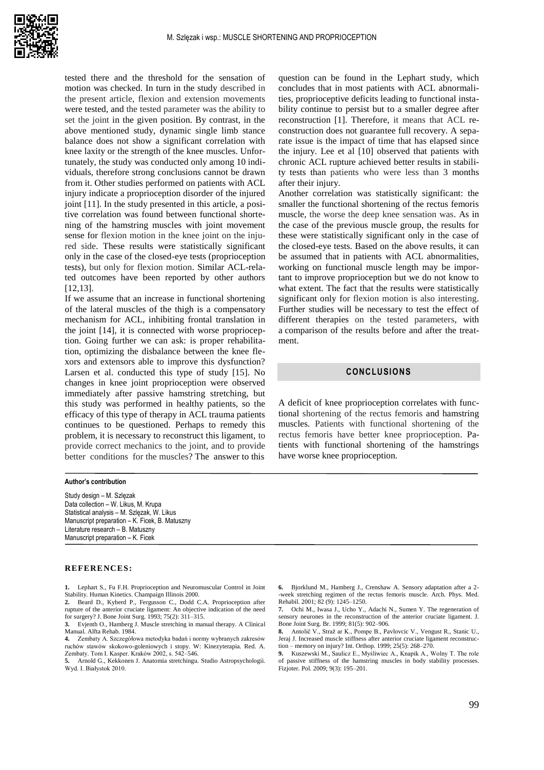

tested there and the threshold for the sensation of motion was checked. In turn in the study described in the present article, flexion and extension movements were tested, and the tested parameter was the ability to set the joint in the given position. By contrast, in the above mentioned study, dynamic single limb stance balance does not show a significant correlation with knee laxity or the strength of the knee muscles. Unfortunately, the study was conducted only among 10 individuals, therefore strong conclusions cannot be drawn from it. Other studies performed on patients with ACL injury indicate a proprioception disorder of the injured joint [11]. In the study presented in this article, a positive correlation was found between functional shortening of the hamstring muscles with joint movement sense for flexion motion in the knee joint on the injured side. These results were statistically significant only in the case of the closed-eye tests (proprioception tests), but only for flexion motion. Similar ACL-related outcomes have been reported by other authors [12,13].

If we assume that an increase in functional shortening of the lateral muscles of the thigh is a compensatory mechanism for ACL, inhibiting frontal translation in the joint [14], it is connected with worse proprioception. Going further we can ask: is proper rehabilitation, optimizing the disbalance between the knee flexors and extensors able to improve this dysfunction? Larsen et al. conducted this type of study [15]. No changes in knee joint proprioception were observed immediately after passive hamstring stretching, but this study was performed in healthy patients, so the efficacy of this type of therapy in ACL trauma patients continues to be questioned. Perhaps to remedy this problem, it is necessary to reconstruct this ligament, to provide correct mechanics to the joint, and to provide better conditions for the muscles? The answer to this

#### **Author's contribution**

Study design – M. Szlęzak Data collection – W. Likus, M. Krupa Statistical analysis – M. Szlęzak, W. Likus Manuscript preparation – K. Ficek, B. Matuszny Literature research – B. Matuszny Manuscript preparation – K. Ficek

#### **REFERENCES:**

**1.** Lephart S., Fu F.H. Proprioception and Neuromuscular Control in Joint Stability. Human Kinetics. Champaign Illinois 2000.

**2.** Beard D., Kyberd P., Fergusson C., Dodd C.A. Proprioception after rupture of the anterior cruciate ligament: An objective indication of the need for surgery? J. Bone Joint Surg. 1993; 75(2): 311–315.

**3.** Evjenth O., Hamberg J. Muscle stretching in manual therapy. A Clinical Manual. Alfta Rehab. 1984.

**4.** Zembaty A. Szczegółowa metodyka badań i normy wybranych zakresów ruchów stawów skokowo-goleniowych i stopy. W: Kinezyterapia. Red. A. Zembaty. Tom I. Kasper. Kraków 2002, s. 542–546.

**5.** Arnold G., Kekkonen J. Anatomia stretchingu. Studio Astropsychologii. Wyd. I. Białystok 2010.

question can be found in the Lephart study, which concludes that in most patients with ACL abnormalities, proprioceptive deficits leading to functional instability continue to persist but to a smaller degree after reconstruction [1]. Therefore, it means that ACL reconstruction does not guarantee full recovery. A separate issue is the impact of time that has elapsed since the injury. Lee et al [10] observed that patients with chronic ACL rupture achieved better results in stability tests than patients who were less than 3 months after their injury.

Another correlation was statistically significant: the smaller the functional shortening of the rectus femoris muscle, the worse the deep knee sensation was. As in the case of the previous muscle group, the results for these were statistically significant only in the case of the closed-eye tests. Based on the above results, it can be assumed that in patients with ACL abnormalities, working on functional muscle length may be important to improve proprioception but we do not know to what extent. The fact that the results were statistically significant only for flexion motion is also interesting. Further studies will be necessary to test the effect of different therapies on the tested parameters, with a comparison of the results before and after the treatment.

## **CONCLUSIONS**

A deficit of knee proprioception correlates with functional shortening of the rectus femoris and hamstring muscles. Patients with functional shortening of the rectus femoris have better knee proprioception. Patients with functional shortening of the hamstrings have worse knee proprioception.

**6.** Bjorklund M., Hamberg J., Crenshaw A. Sensory adaptation after a 2- -week stretching regimen of the rectus femoris muscle. Arch. Phys. Med. Rehabil. 2001; 82 (9): 1245–1250.

**7.** Ochi M., Iwasa J., Ucho Y., Adachi N., Sumen Y. The regeneration of sensory neurones in the reconstruction of the anterior cruciate ligament. J. Bone Joint Surg. Br. 1999; 81(5): 902–906.

**8.** Antolič V., Straž ar K., Pompe B., [Pavlovcic V.,](https://www.ncbi.nlm.nih.gov/pubmed/?term=Pavlovcic%20V%5BAuthor%5D&cauthor=true&cauthor_uid=10653291) [Vengust R.,](https://www.ncbi.nlm.nih.gov/pubmed/?term=Vengust%20R%5BAuthor%5D&cauthor=true&cauthor_uid=10653291) [Stanic U.,](https://www.ncbi.nlm.nih.gov/pubmed/?term=Stanic%20U%5BAuthor%5D&cauthor=true&cauthor_uid=10653291) [Jeraj J.](https://www.ncbi.nlm.nih.gov/pubmed/?term=Jeraj%20J%5BAuthor%5D&cauthor=true&cauthor_uid=10653291) Increased muscle stiffness after anterior cruciate ligament reconstruction – memory on injury? Int. Orthop. 1999; 25(5): 268–270.

**9.** Kuszewski M., Saulicz E., Myśliwiec A., Knapik A., Wolny T. The role of passive stiffness of the hamstring muscles in body stability processes. Fizjoter. Pol. 2009; 9(3): 195–201.